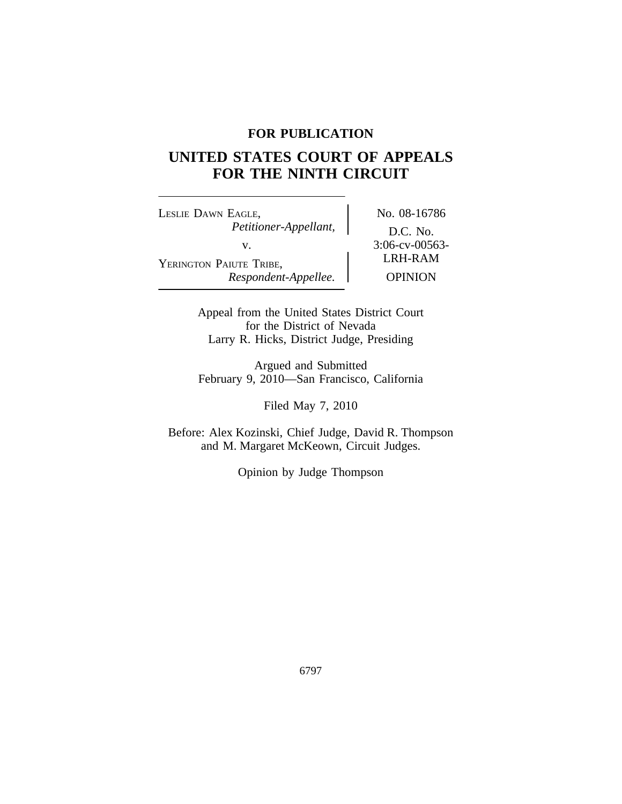# **FOR PUBLICATION**

# **UNITED STATES COURT OF APPEALS FOR THE NINTH CIRCUIT**

LESLIE DAWN EAGLE, No. 08-16786 *Petitioner-Appellant,* D.C. No. v. <br> 3:06-cv-00563-YERINGTON PAIUTE TRIBE, *Respondent-Appellee.* OPINION

LRH-RAM

Appeal from the United States District Court for the District of Nevada Larry R. Hicks, District Judge, Presiding

Argued and Submitted February 9, 2010—San Francisco, California

Filed May 7, 2010

Before: Alex Kozinski, Chief Judge, David R. Thompson and M. Margaret McKeown, Circuit Judges.

Opinion by Judge Thompson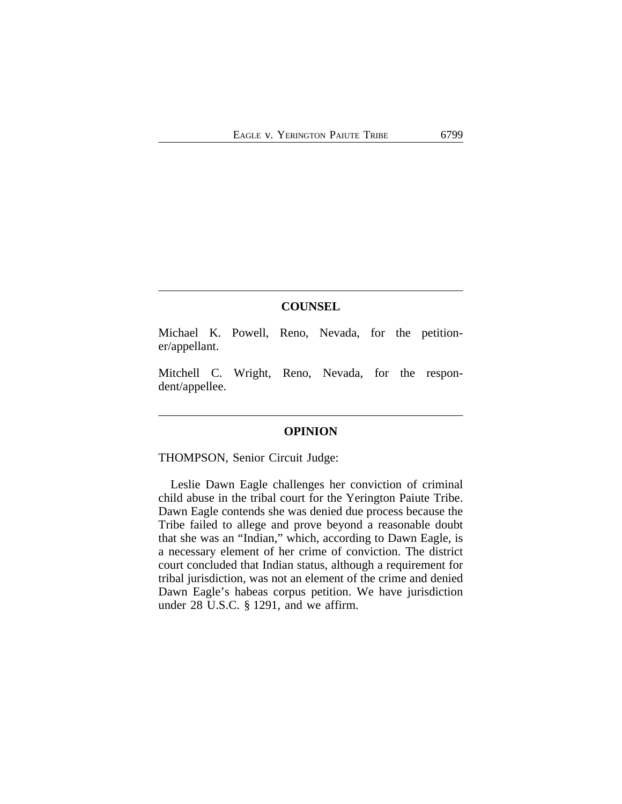# **COUNSEL**

Michael K. Powell, Reno, Nevada, for the petitioner/appellant.

Mitchell C. Wright, Reno, Nevada, for the respondent/appellee.

## **OPINION**

THOMPSON, Senior Circuit Judge:

Leslie Dawn Eagle challenges her conviction of criminal child abuse in the tribal court for the Yerington Paiute Tribe. Dawn Eagle contends she was denied due process because the Tribe failed to allege and prove beyond a reasonable doubt that she was an "Indian," which, according to Dawn Eagle, is a necessary element of her crime of conviction. The district court concluded that Indian status, although a requirement for tribal jurisdiction, was not an element of the crime and denied Dawn Eagle's habeas corpus petition. We have jurisdiction under 28 U.S.C. § 1291, and we affirm.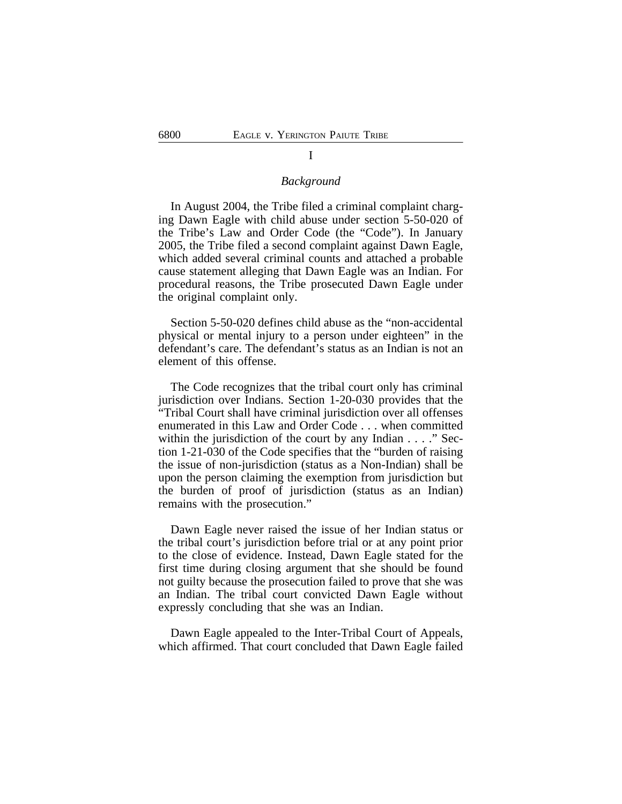## *Background*

In August 2004, the Tribe filed a criminal complaint charging Dawn Eagle with child abuse under section 5-50-020 of the Tribe's Law and Order Code (the "Code"). In January 2005, the Tribe filed a second complaint against Dawn Eagle, which added several criminal counts and attached a probable cause statement alleging that Dawn Eagle was an Indian. For procedural reasons, the Tribe prosecuted Dawn Eagle under the original complaint only.

Section 5-50-020 defines child abuse as the "non-accidental physical or mental injury to a person under eighteen" in the defendant's care. The defendant's status as an Indian is not an element of this offense.

The Code recognizes that the tribal court only has criminal jurisdiction over Indians. Section 1-20-030 provides that the "Tribal Court shall have criminal jurisdiction over all offenses enumerated in this Law and Order Code . . . when committed within the jurisdiction of the court by any Indian . . . ." Section 1-21-030 of the Code specifies that the "burden of raising the issue of non-jurisdiction (status as a Non-Indian) shall be upon the person claiming the exemption from jurisdiction but the burden of proof of jurisdiction (status as an Indian) remains with the prosecution."

Dawn Eagle never raised the issue of her Indian status or the tribal court's jurisdiction before trial or at any point prior to the close of evidence. Instead, Dawn Eagle stated for the first time during closing argument that she should be found not guilty because the prosecution failed to prove that she was an Indian. The tribal court convicted Dawn Eagle without expressly concluding that she was an Indian.

Dawn Eagle appealed to the Inter-Tribal Court of Appeals, which affirmed. That court concluded that Dawn Eagle failed

#### I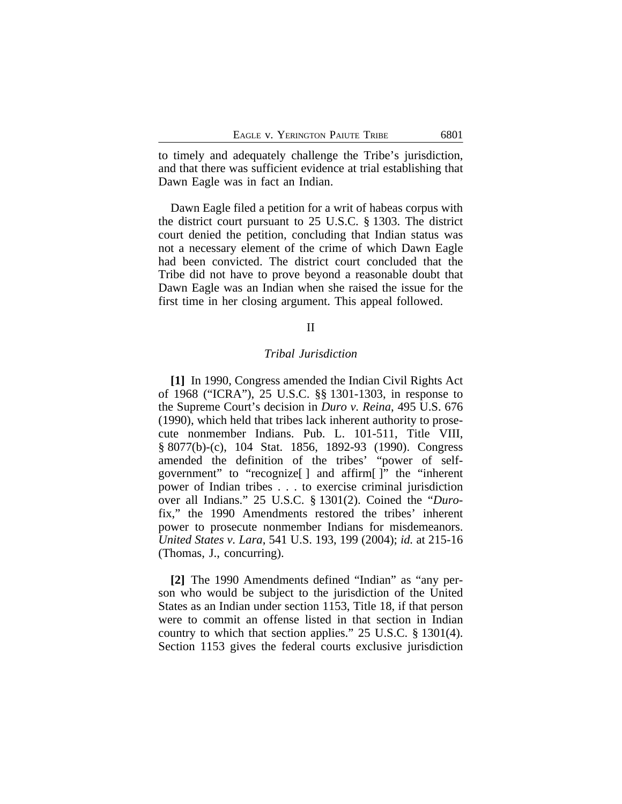to timely and adequately challenge the Tribe's jurisdiction, and that there was sufficient evidence at trial establishing that Dawn Eagle was in fact an Indian.

Dawn Eagle filed a petition for a writ of habeas corpus with the district court pursuant to 25 U.S.C. § 1303. The district court denied the petition, concluding that Indian status was not a necessary element of the crime of which Dawn Eagle had been convicted. The district court concluded that the Tribe did not have to prove beyond a reasonable doubt that Dawn Eagle was an Indian when she raised the issue for the first time in her closing argument. This appeal followed.

# II

# *Tribal Jurisdiction*

**[1]** In 1990, Congress amended the Indian Civil Rights Act of 1968 ("ICRA"), 25 U.S.C. §§ 1301-1303, in response to the Supreme Court's decision in *Duro v. Reina*, 495 U.S. 676 (1990), which held that tribes lack inherent authority to prosecute nonmember Indians. Pub. L. 101-511, Title VIII, § 8077(b)-(c), 104 Stat. 1856, 1892-93 (1990). Congress amended the definition of the tribes' "power of selfgovernment" to "recognize[ ] and affirm[ ]" the "inherent power of Indian tribes . . . to exercise criminal jurisdiction over all Indians." 25 U.S.C. § 1301(2). Coined the "*Duro*fix," the 1990 Amendments restored the tribes' inherent power to prosecute nonmember Indians for misdemeanors. *United States v. Lara*, 541 U.S. 193, 199 (2004); *id.* at 215-16 (Thomas, J., concurring).

**[2]** The 1990 Amendments defined "Indian" as "any person who would be subject to the jurisdiction of the United States as an Indian under section 1153, Title 18, if that person were to commit an offense listed in that section in Indian country to which that section applies." 25 U.S.C. § 1301(4). Section 1153 gives the federal courts exclusive jurisdiction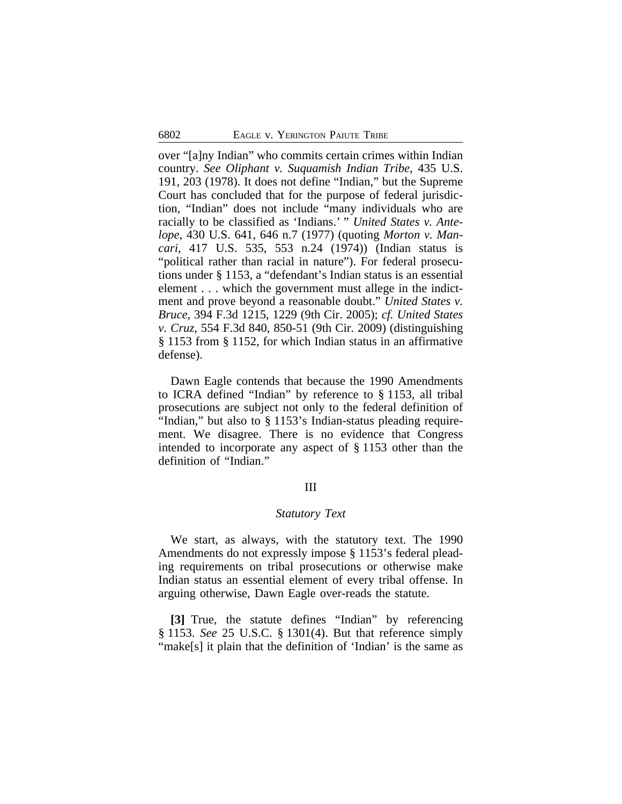over "[a]ny Indian" who commits certain crimes within Indian country. *See Oliphant v. Suquamish Indian Tribe*, 435 U.S. 191, 203 (1978). It does not define "Indian," but the Supreme Court has concluded that for the purpose of federal jurisdiction, "Indian" does not include "many individuals who are racially to be classified as 'Indians.' " *United States v. Antelope*, 430 U.S. 641, 646 n.7 (1977) (quoting *Morton v. Mancari*, 417 U.S. 535, 553 n.24 (1974)) (Indian status is "political rather than racial in nature"). For federal prosecutions under § 1153, a "defendant's Indian status is an essential element . . . which the government must allege in the indictment and prove beyond a reasonable doubt." *United States v. Bruce*, 394 F.3d 1215, 1229 (9th Cir. 2005); *cf. United States v. Cruz*, 554 F.3d 840, 850-51 (9th Cir. 2009) (distinguishing § 1153 from § 1152, for which Indian status in an affirmative defense).

Dawn Eagle contends that because the 1990 Amendments to ICRA defined "Indian" by reference to § 1153, all tribal prosecutions are subject not only to the federal definition of "Indian," but also to § 1153's Indian-status pleading requirement. We disagree. There is no evidence that Congress intended to incorporate any aspect of § 1153 other than the definition of "Indian."

## III

## *Statutory Text*

We start, as always, with the statutory text. The 1990 Amendments do not expressly impose § 1153's federal pleading requirements on tribal prosecutions or otherwise make Indian status an essential element of every tribal offense. In arguing otherwise, Dawn Eagle over-reads the statute.

**[3]** True, the statute defines "Indian" by referencing § 1153. *See* 25 U.S.C. § 1301(4). But that reference simply "make[s] it plain that the definition of 'Indian' is the same as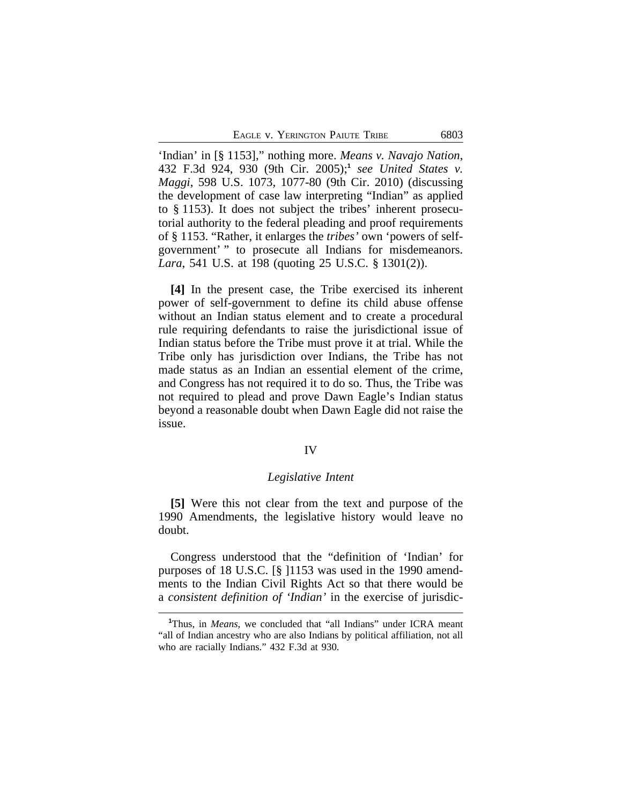'Indian' in [§ 1153]," nothing more. *Means v. Navajo Nation*, 432 F.3d 924, 930 (9th Cir. 2005);**<sup>1</sup>** *see United States v. Maggi*, 598 U.S. 1073, 1077-80 (9th Cir. 2010) (discussing the development of case law interpreting "Indian" as applied to § 1153). It does not subject the tribes' inherent prosecutorial authority to the federal pleading and proof requirements of § 1153. "Rather, it enlarges the *tribes'* own 'powers of selfgovernment' " to prosecute all Indians for misdemeanors. *Lara*, 541 U.S. at 198 (quoting 25 U.S.C. § 1301(2)).

**[4]** In the present case, the Tribe exercised its inherent power of self-government to define its child abuse offense without an Indian status element and to create a procedural rule requiring defendants to raise the jurisdictional issue of Indian status before the Tribe must prove it at trial. While the Tribe only has jurisdiction over Indians, the Tribe has not made status as an Indian an essential element of the crime, and Congress has not required it to do so. Thus, the Tribe was not required to plead and prove Dawn Eagle's Indian status beyond a reasonable doubt when Dawn Eagle did not raise the issue.

### IV

## *Legislative Intent*

**[5]** Were this not clear from the text and purpose of the 1990 Amendments, the legislative history would leave no doubt.

Congress understood that the "definition of 'Indian' for purposes of 18 U.S.C. [§ ]1153 was used in the 1990 amendments to the Indian Civil Rights Act so that there would be a *consistent definition of 'Indian'* in the exercise of jurisdic-

**<sup>1</sup>**Thus, in *Means*, we concluded that "all Indians" under ICRA meant "all of Indian ancestry who are also Indians by political affiliation, not all who are racially Indians." 432 F.3d at 930.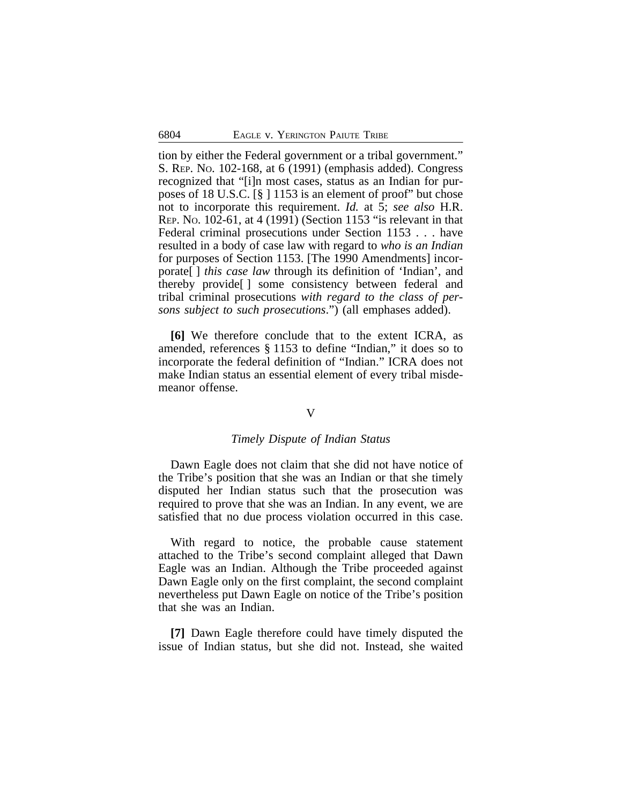tion by either the Federal government or a tribal government." S. REP. NO. 102-168, at 6 (1991) (emphasis added). Congress recognized that "[i]n most cases, status as an Indian for purposes of 18 U.S.C. [§ ] 1153 is an element of proof" but chose not to incorporate this requirement. *Id.* at 5; *see also* H.R. REP. NO. 102-61, at 4 (1991) (Section 1153 "is relevant in that Federal criminal prosecutions under Section 1153 . . . have resulted in a body of case law with regard to *who is an Indian* for purposes of Section 1153. [The 1990 Amendments] incorporate[ ] *this case law* through its definition of 'Indian', and thereby provide[ ] some consistency between federal and tribal criminal prosecutions *with regard to the class of persons subject to such prosecutions*.") (all emphases added).

**[6]** We therefore conclude that to the extent ICRA, as amended, references § 1153 to define "Indian," it does so to incorporate the federal definition of "Indian." ICRA does not make Indian status an essential element of every tribal misdemeanor offense.

## V

#### *Timely Dispute of Indian Status*

Dawn Eagle does not claim that she did not have notice of the Tribe's position that she was an Indian or that she timely disputed her Indian status such that the prosecution was required to prove that she was an Indian. In any event, we are satisfied that no due process violation occurred in this case.

With regard to notice, the probable cause statement attached to the Tribe's second complaint alleged that Dawn Eagle was an Indian. Although the Tribe proceeded against Dawn Eagle only on the first complaint, the second complaint nevertheless put Dawn Eagle on notice of the Tribe's position that she was an Indian.

**[7]** Dawn Eagle therefore could have timely disputed the issue of Indian status, but she did not. Instead, she waited